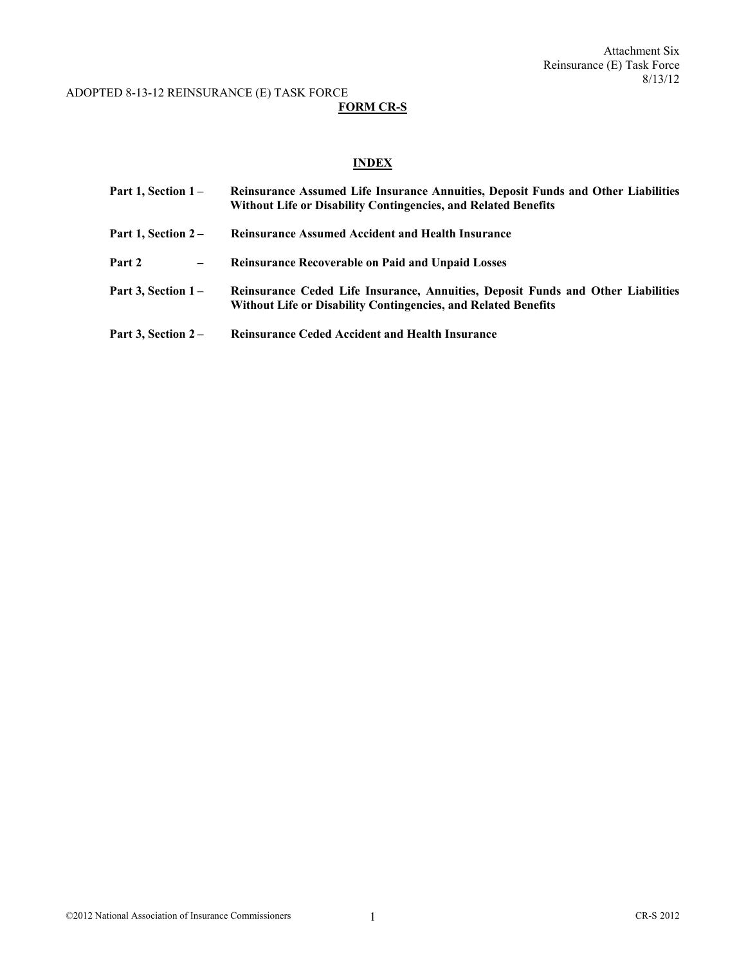## **FORM CR-S**

# **INDEX**

| Part 1, Section $1-$        | Reinsurance Assumed Life Insurance Annuities, Deposit Funds and Other Liabilities<br><b>Without Life or Disability Contingencies, and Related Benefits</b> |
|-----------------------------|------------------------------------------------------------------------------------------------------------------------------------------------------------|
| Part 1, Section $2-$        | <b>Reinsurance Assumed Accident and Health Insurance</b>                                                                                                   |
| Part 2<br>$\qquad \qquad -$ | <b>Reinsurance Recoverable on Paid and Unpaid Losses</b>                                                                                                   |
| Part 3, Section $1-$        | Reinsurance Ceded Life Insurance, Annuities, Deposit Funds and Other Liabilities<br><b>Without Life or Disability Contingencies, and Related Benefits</b>  |
| Part 3, Section $2-$        | <b>Reinsurance Ceded Accident and Health Insurance</b>                                                                                                     |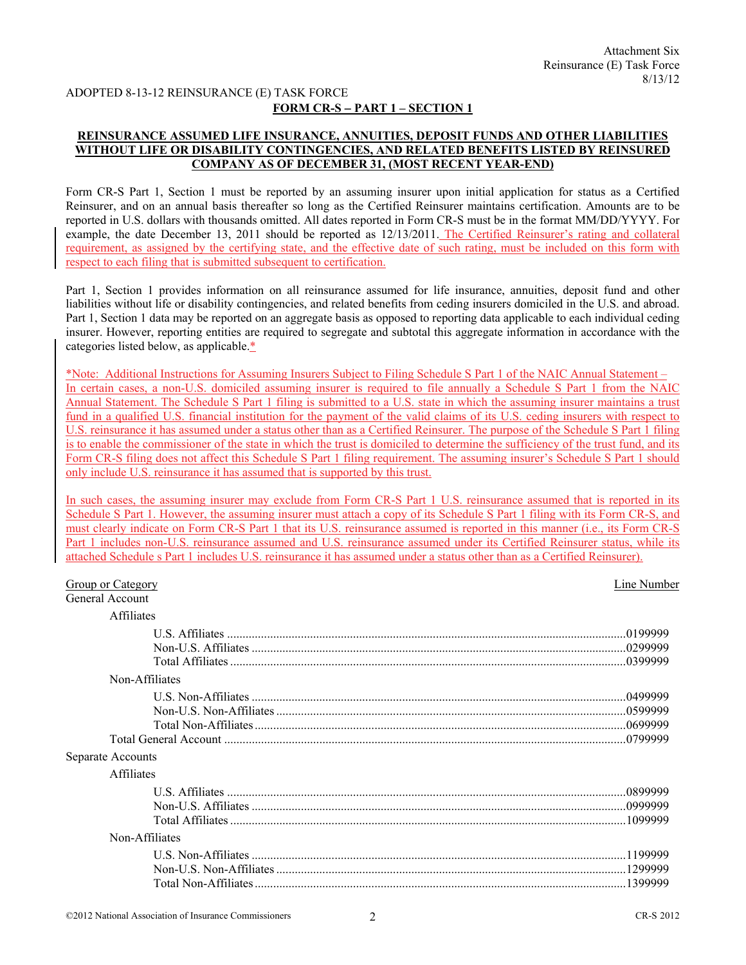## **FORM CR-S** − **PART 1 – SECTION 1**

## **REINSURANCE ASSUMED LIFE INSURANCE, ANNUITIES, DEPOSIT FUNDS AND OTHER LIABILITIES WITHOUT LIFE OR DISABILITY CONTINGENCIES, AND RELATED BENEFITS LISTED BY REINSURED COMPANY AS OF DECEMBER 31, (MOST RECENT YEAR-END)**

Form CR-S Part 1, Section 1 must be reported by an assuming insurer upon initial application for status as a Certified Reinsurer, and on an annual basis thereafter so long as the Certified Reinsurer maintains certification. Amounts are to be reported in U.S. dollars with thousands omitted. All dates reported in Form CR-S must be in the format MM/DD/YYYY. For example, the date December 13, 2011 should be reported as 12/13/2011. The Certified Reinsurer's rating and collateral requirement, as assigned by the certifying state, and the effective date of such rating, must be included on this form with respect to each filing that is submitted subsequent to certification.

Part 1, Section 1 provides information on all reinsurance assumed for life insurance, annuities, deposit fund and other liabilities without life or disability contingencies, and related benefits from ceding insurers domiciled in the U.S. and abroad. Part 1, Section 1 data may be reported on an aggregate basis as opposed to reporting data applicable to each individual ceding insurer. However, reporting entities are required to segregate and subtotal this aggregate information in accordance with the categories listed below, as applicable.\*

\*Note: Additional Instructions for Assuming Insurers Subject to Filing Schedule S Part 1 of the NAIC Annual Statement – In certain cases, a non-U.S. domiciled assuming insurer is required to file annually a Schedule S Part 1 from the NAIC Annual Statement. The Schedule S Part 1 filing is submitted to a U.S. state in which the assuming insurer maintains a trust fund in a qualified U.S. financial institution for the payment of the valid claims of its U.S. ceding insurers with respect to U.S. reinsurance it has assumed under a status other than as a Certified Reinsurer. The purpose of the Schedule S Part 1 filing is to enable the commissioner of the state in which the trust is domiciled to determine the sufficiency of the trust fund, and its Form CR-S filing does not affect this Schedule S Part 1 filing requirement. The assuming insurer's Schedule S Part 1 should only include U.S. reinsurance it has assumed that is supported by this trust.

In such cases, the assuming insurer may exclude from Form CR-S Part 1 U.S. reinsurance assumed that is reported in its Schedule S Part 1. However, the assuming insurer must attach a copy of its Schedule S Part 1 filing with its Form CR-S, and must clearly indicate on Form CR-S Part 1 that its U.S. reinsurance assumed is reported in this manner (i.e., its Form CR-S Part 1 includes non-U.S. reinsurance assumed and U.S. reinsurance assumed under its Certified Reinsurer status, while its attached Schedule s Part 1 includes U.S. reinsurance it has assumed under a status other than as a Certified Reinsurer).

| <b>Group or Category</b> | Line Number |
|--------------------------|-------------|
| <b>General Account</b>   |             |
| Affiliates               |             |
|                          |             |
| Non-Affiliates           |             |
|                          |             |
| Separate Accounts        |             |
| Affiliates               |             |
|                          | .0899999    |
| Non-Affiliates           |             |
|                          | 1399999     |
|                          |             |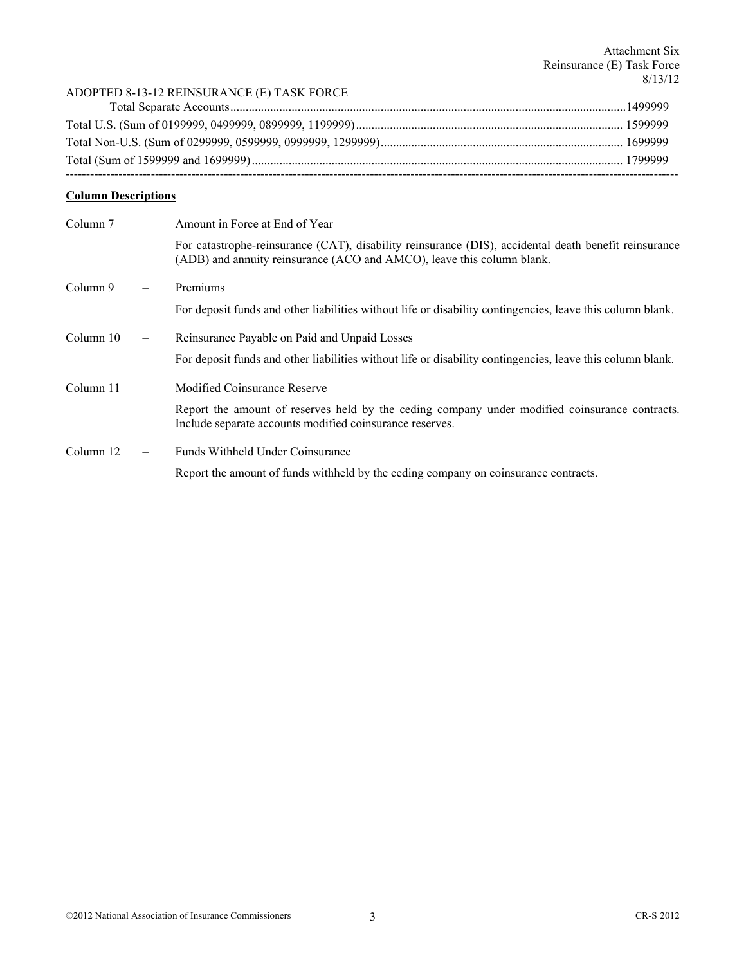## **Column Descriptions**

| Column 7  |                   | Amount in Force at End of Year                                                                                                                                                  |
|-----------|-------------------|---------------------------------------------------------------------------------------------------------------------------------------------------------------------------------|
|           |                   | For catastrophe-reinsurance (CAT), disability reinsurance (DIS), accidental death benefit reinsurance<br>(ADB) and annuity reinsurance (ACO and AMCO), leave this column blank. |
| Column 9  |                   | Premiums                                                                                                                                                                        |
|           |                   | For deposit funds and other liabilities without life or disability contingencies, leave this column blank.                                                                      |
| Column 10 | $\qquad \qquad -$ | Reinsurance Payable on Paid and Unpaid Losses                                                                                                                                   |
|           |                   | For deposit funds and other liabilities without life or disability contingencies, leave this column blank.                                                                      |
| Column 11 |                   | Modified Coinsurance Reserve                                                                                                                                                    |
|           |                   | Report the amount of reserves held by the ceding company under modified coinsurance contracts.<br>Include separate accounts modified coinsurance reserves.                      |
| Column 12 |                   | Funds Withheld Under Coinsurance                                                                                                                                                |
|           |                   | Report the amount of funds withheld by the ceding company on coinsurance contracts.                                                                                             |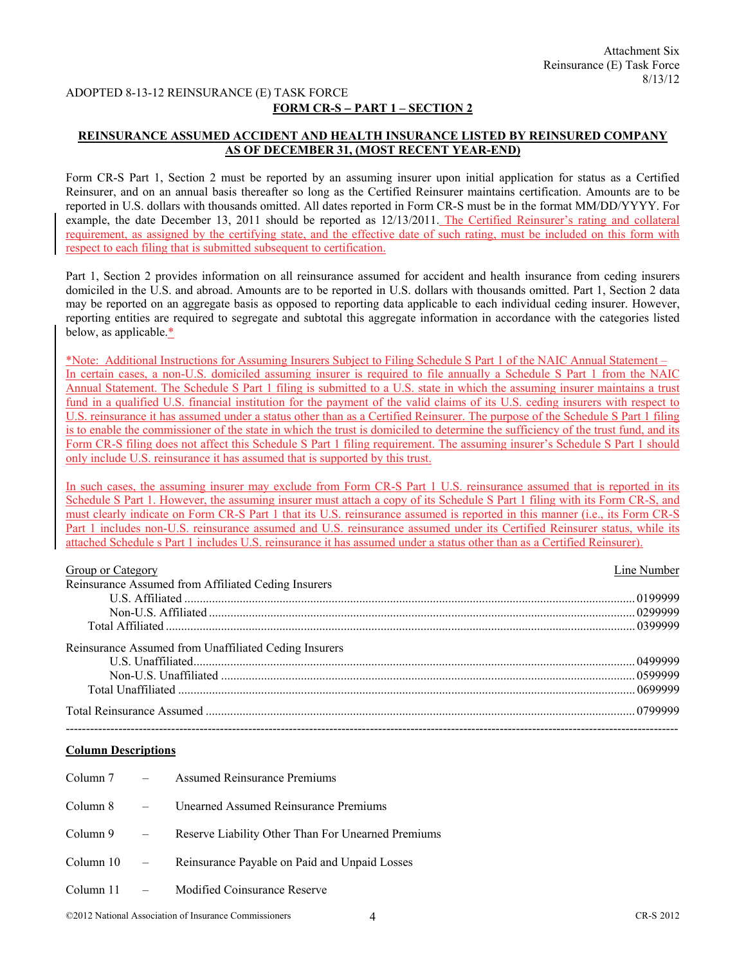## **FORM CR-S** − **PART 1 – SECTION 2**

## **REINSURANCE ASSUMED ACCIDENT AND HEALTH INSURANCE LISTED BY REINSURED COMPANY AS OF DECEMBER 31, (MOST RECENT YEAR-END)**

Form CR-S Part 1, Section 2 must be reported by an assuming insurer upon initial application for status as a Certified Reinsurer, and on an annual basis thereafter so long as the Certified Reinsurer maintains certification. Amounts are to be reported in U.S. dollars with thousands omitted. All dates reported in Form CR-S must be in the format MM/DD/YYYY. For example, the date December 13, 2011 should be reported as 12/13/2011. The Certified Reinsurer's rating and collateral requirement, as assigned by the certifying state, and the effective date of such rating, must be included on this form with respect to each filing that is submitted subsequent to certification.

Part 1, Section 2 provides information on all reinsurance assumed for accident and health insurance from ceding insurers domiciled in the U.S. and abroad. Amounts are to be reported in U.S. dollars with thousands omitted. Part 1, Section 2 data may be reported on an aggregate basis as opposed to reporting data applicable to each individual ceding insurer. However, reporting entities are required to segregate and subtotal this aggregate information in accordance with the categories listed below, as applicable.\*

\*Note: Additional Instructions for Assuming Insurers Subject to Filing Schedule S Part 1 of the NAIC Annual Statement – In certain cases, a non-U.S. domiciled assuming insurer is required to file annually a Schedule S Part 1 from the NAIC Annual Statement. The Schedule S Part 1 filing is submitted to a U.S. state in which the assuming insurer maintains a trust fund in a qualified U.S. financial institution for the payment of the valid claims of its U.S. ceding insurers with respect to U.S. reinsurance it has assumed under a status other than as a Certified Reinsurer. The purpose of the Schedule S Part 1 filing is to enable the commissioner of the state in which the trust is domiciled to determine the sufficiency of the trust fund, and its Form CR-S filing does not affect this Schedule S Part 1 filing requirement. The assuming insurer's Schedule S Part 1 should only include U.S. reinsurance it has assumed that is supported by this trust.

In such cases, the assuming insurer may exclude from Form CR-S Part 1 U.S. reinsurance assumed that is reported in its Schedule S Part 1. However, the assuming insurer must attach a copy of its Schedule S Part 1 filing with its Form CR-S, and must clearly indicate on Form CR-S Part 1 that its U.S. reinsurance assumed is reported in this manner (i.e., its Form CR-S Part 1 includes non-U.S. reinsurance assumed and U.S. reinsurance assumed under its Certified Reinsurer status, while its attached Schedule s Part 1 includes U.S. reinsurance it has assumed under a status other than as a Certified Reinsurer).

| Group or Category                                     | Line Number |
|-------------------------------------------------------|-------------|
| Reinsurance Assumed from Affiliated Ceding Insurers   |             |
|                                                       |             |
|                                                       |             |
|                                                       |             |
| Reinsurance Assumed from Unaffiliated Ceding Insurers |             |
|                                                       |             |
|                                                       |             |
|                                                       |             |
|                                                       |             |
|                                                       |             |

## **Column Descriptions**

| Column $7 -$ |                           | <b>Assumed Reinsurance Premiums</b>                |
|--------------|---------------------------|----------------------------------------------------|
| Column 8     |                           | <b>Unearned Assumed Reinsurance Premiums</b>       |
| Column 9     | $\mathcal{L}=\mathcal{L}$ | Reserve Liability Other Than For Unearned Premiums |
| Column 10    | $\sim 100$ km s $^{-1}$   | Reinsurance Payable on Paid and Unpaid Losses      |
| Column 11    |                           | Modified Coinsurance Reserve                       |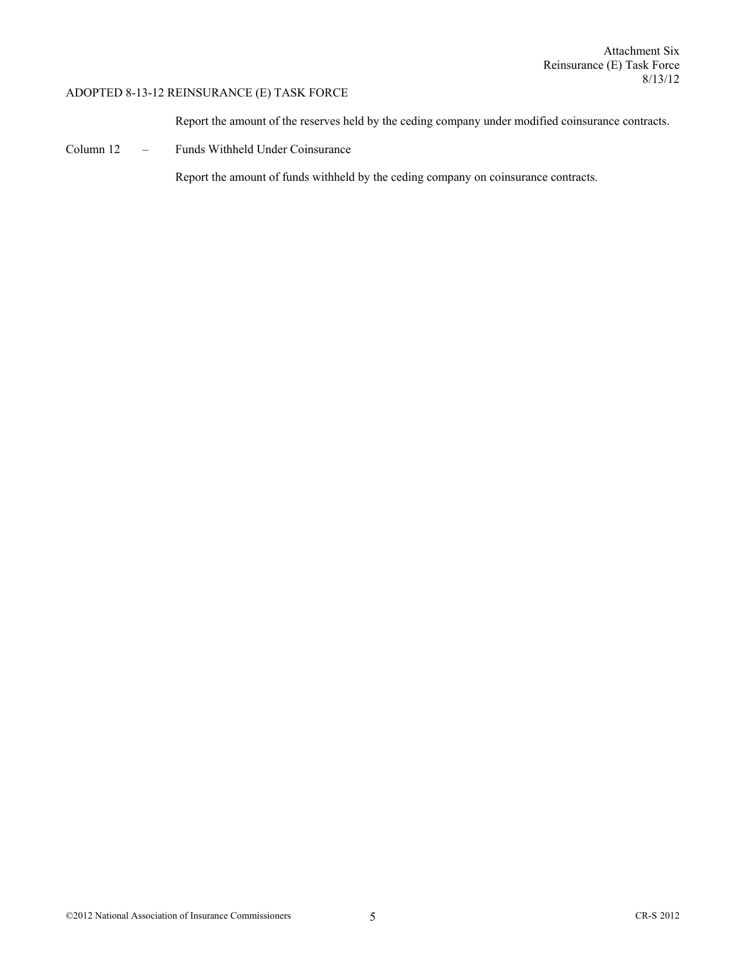Report the amount of the reserves held by the ceding company under modified coinsurance contracts.

Column 12 – Funds Withheld Under Coinsurance

Report the amount of funds withheld by the ceding company on coinsurance contracts.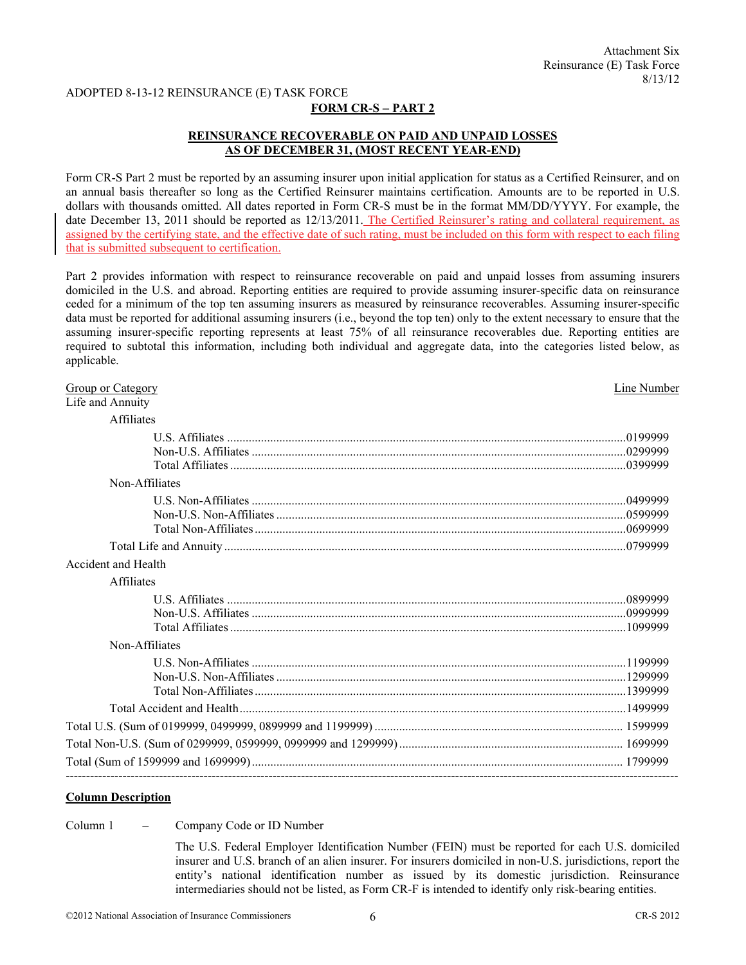#### **FORM CR-S** − **PART 2**

## **REINSURANCE RECOVERABLE ON PAID AND UNPAID LOSSES AS OF DECEMBER 31, (MOST RECENT YEAR-END)**

Form CR-S Part 2 must be reported by an assuming insurer upon initial application for status as a Certified Reinsurer, and on an annual basis thereafter so long as the Certified Reinsurer maintains certification. Amounts are to be reported in U.S. dollars with thousands omitted. All dates reported in Form CR-S must be in the format MM/DD/YYYY. For example, the date December 13, 2011 should be reported as 12/13/2011. The Certified Reinsurer's rating and collateral requirement, as assigned by the certifying state, and the effective date of such rating, must be included on this form with respect to each filing that is submitted subsequent to certification.

Part 2 provides information with respect to reinsurance recoverable on paid and unpaid losses from assuming insurers domiciled in the U.S. and abroad. Reporting entities are required to provide assuming insurer-specific data on reinsurance ceded for a minimum of the top ten assuming insurers as measured by reinsurance recoverables. Assuming insurer-specific data must be reported for additional assuming insurers (i.e., beyond the top ten) only to the extent necessary to ensure that the assuming insurer-specific reporting represents at least 75% of all reinsurance recoverables due. Reporting entities are required to subtotal this information, including both individual and aggregate data, into the categories listed below, as applicable.

| <b>Group or Category</b><br>Life and Annuity | Line Number |
|----------------------------------------------|-------------|
| Affiliates                                   |             |
|                                              |             |
| Non-Affiliates                               |             |
|                                              |             |
|                                              |             |
| Accident and Health                          |             |
| <b>Affiliates</b>                            |             |
|                                              |             |
| Non-Affiliates                               |             |
|                                              |             |
|                                              |             |
|                                              |             |
|                                              |             |
|                                              |             |

#### **Column Description**

Column 1 – Company Code or ID Number

 The U.S. Federal Employer Identification Number (FEIN) must be reported for each U.S. domiciled insurer and U.S. branch of an alien insurer. For insurers domiciled in non-U.S. jurisdictions, report the entity's national identification number as issued by its domestic jurisdiction. Reinsurance intermediaries should not be listed, as Form CR-F is intended to identify only risk-bearing entities.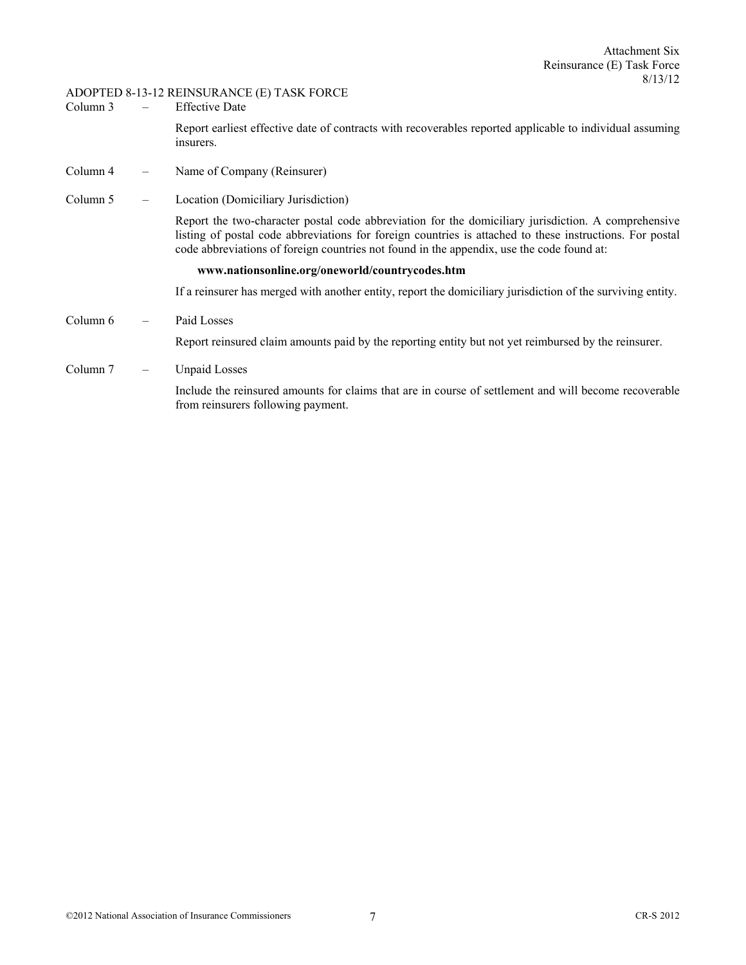- Column 3 Effective Date Report earliest effective date of contracts with recoverables reported applicable to individual assuming insurers.
- Column 4 Name of Company (Reinsurer)
- Column 5 Location (Domiciliary Jurisdiction)

Report the two-character postal code abbreviation for the domiciliary jurisdiction. A comprehensive listing of postal code abbreviations for foreign countries is attached to these instructions. For postal code abbreviations of foreign countries not found in the appendix, use the code found at:

#### **www.nationsonline.org/oneworld/countrycodes.htm**

If a reinsurer has merged with another entity, report the domiciliary jurisdiction of the surviving entity.

Column 6 – Paid Losses

Report reinsured claim amounts paid by the reporting entity but not yet reimbursed by the reinsurer.

Column 7 – Unpaid Losses

Include the reinsured amounts for claims that are in course of settlement and will become recoverable from reinsurers following payment.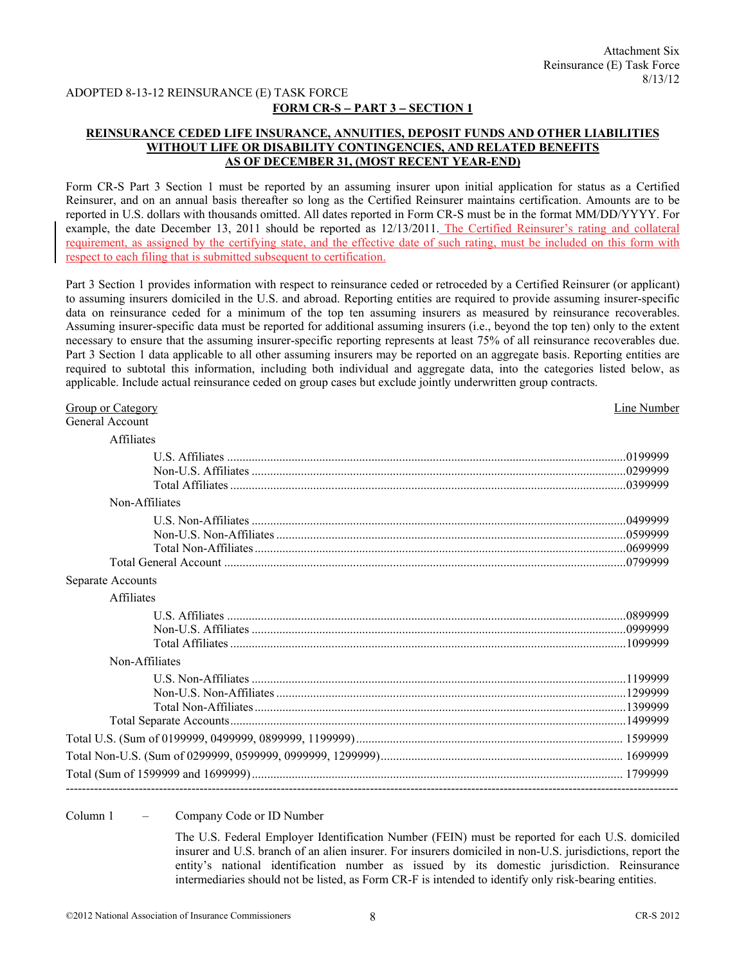## **FORM CR-S** − **PART 3** − **SECTION 1**

## **REINSURANCE CEDED LIFE INSURANCE, ANNUITIES, DEPOSIT FUNDS AND OTHER LIABILITIES WITHOUT LIFE OR DISABILITY CONTINGENCIES, AND RELATED BENEFITS AS OF DECEMBER 31, (MOST RECENT YEAR-END)**

Form CR-S Part 3 Section 1 must be reported by an assuming insurer upon initial application for status as a Certified Reinsurer, and on an annual basis thereafter so long as the Certified Reinsurer maintains certification. Amounts are to be reported in U.S. dollars with thousands omitted. All dates reported in Form CR-S must be in the format MM/DD/YYYY. For example, the date December 13, 2011 should be reported as 12/13/2011. The Certified Reinsurer's rating and collateral requirement, as assigned by the certifying state, and the effective date of such rating, must be included on this form with respect to each filing that is submitted subsequent to certification.

Part 3 Section 1 provides information with respect to reinsurance ceded or retroceded by a Certified Reinsurer (or applicant) to assuming insurers domiciled in the U.S. and abroad. Reporting entities are required to provide assuming insurer-specific data on reinsurance ceded for a minimum of the top ten assuming insurers as measured by reinsurance recoverables. Assuming insurer-specific data must be reported for additional assuming insurers (i.e., beyond the top ten) only to the extent necessary to ensure that the assuming insurer-specific reporting represents at least 75% of all reinsurance recoverables due. Part 3 Section 1 data applicable to all other assuming insurers may be reported on an aggregate basis. Reporting entities are required to subtotal this information, including both individual and aggregate data, into the categories listed below, as applicable. Include actual reinsurance ceded on group cases but exclude jointly underwritten group contracts.

| Group or Category | Line Number |
|-------------------|-------------|
| General Account   |             |
| Affiliates        |             |
|                   |             |
|                   |             |
|                   |             |
| Non-Affiliates    |             |
|                   |             |
|                   |             |
|                   |             |
|                   |             |
| Separate Accounts |             |
| Affiliates        |             |
|                   |             |
|                   |             |
|                   |             |
| Non-Affiliates    |             |
|                   |             |
|                   |             |
|                   |             |
|                   |             |
|                   |             |
|                   |             |
|                   |             |
|                   |             |

Column 1 – Company Code or ID Number

 The U.S. Federal Employer Identification Number (FEIN) must be reported for each U.S. domiciled insurer and U.S. branch of an alien insurer. For insurers domiciled in non-U.S. jurisdictions, report the entity's national identification number as issued by its domestic jurisdiction. Reinsurance intermediaries should not be listed, as Form CR-F is intended to identify only risk-bearing entities.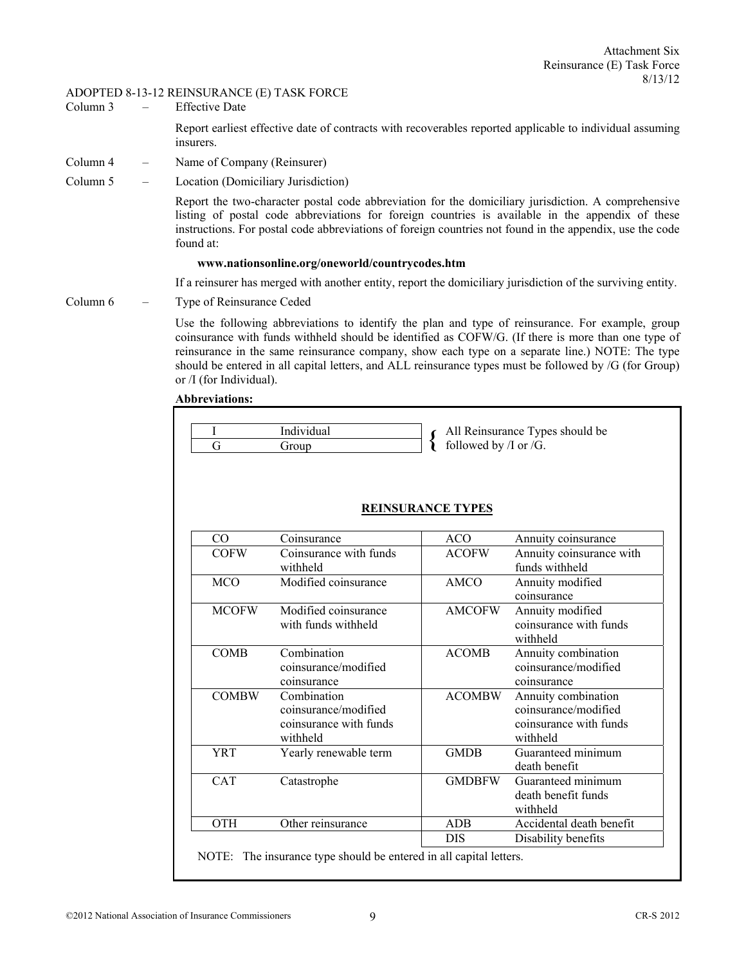- Column 3 Effective Date Report earliest effective date of contracts with recoverables reported applicable to individual assuming insurers.
- Column 4 Name of Company (Reinsurer)
- Column 5 Location (Domiciliary Jurisdiction)

Report the two-character postal code abbreviation for the domiciliary jurisdiction. A comprehensive listing of postal code abbreviations for foreign countries is available in the appendix of these instructions. For postal code abbreviations of foreign countries not found in the appendix, use the code found at:

#### **www.nationsonline.org/oneworld/countrycodes.htm**

If a reinsurer has merged with another entity, report the domiciliary jurisdiction of the surviving entity.

Column 6 – Type of Reinsurance Ceded

Use the following abbreviations to identify the plan and type of reinsurance. For example, group coinsurance with funds withheld should be identified as COFW/G. (If there is more than one type of reinsurance in the same reinsurance company, show each type on a separate line.) NOTE: The type should be entered in all capital letters, and ALL reinsurance types must be followed by /G (for Group) or /I (for Individual).

#### **Abbreviations:**

|  | Individual | $\epsilon$ All Reinsurance Types should be |
|--|------------|--------------------------------------------|
|  | Group      | followed by $\pi$ or $/G$ .                |

| CO           | Coinsurance                                                               | <b>ACO</b>    | Annuity coinsurance                                                               |
|--------------|---------------------------------------------------------------------------|---------------|-----------------------------------------------------------------------------------|
| <b>COFW</b>  | Coinsurance with funds<br>withheld                                        | <b>ACOFW</b>  | Annuity coinsurance with<br>funds withheld                                        |
| <b>MCO</b>   | Modified coinsurance                                                      | AMCO          | Annuity modified<br>coinsurance                                                   |
| <b>MCOFW</b> | Modified coinsurance<br>with funds withheld                               | <b>AMCOFW</b> | Annuity modified<br>coinsurance with funds<br>withheld                            |
| <b>COMB</b>  | Combination<br>coinsurance/modified<br>coinsurance                        | <b>ACOMB</b>  | Annuity combination<br>coinsurance/modified<br>coinsurance                        |
| <b>COMBW</b> | Combination<br>coinsurance/modified<br>coinsurance with funds<br>withheld | <b>ACOMBW</b> | Annuity combination<br>coinsurance/modified<br>coinsurance with funds<br>withheld |
| <b>YRT</b>   | Yearly renewable term                                                     | <b>GMDB</b>   | Guaranteed minimum<br>death benefit                                               |
| <b>CAT</b>   | Catastrophe                                                               | <b>GMDBFW</b> | Guaranteed minimum<br>death benefit funds<br>withheld                             |
| <b>OTH</b>   | Other reinsurance                                                         | <b>ADB</b>    | Accidental death benefit                                                          |
|              |                                                                           | DIS           | Disability benefits                                                               |

### **REINSURANCE TYPES**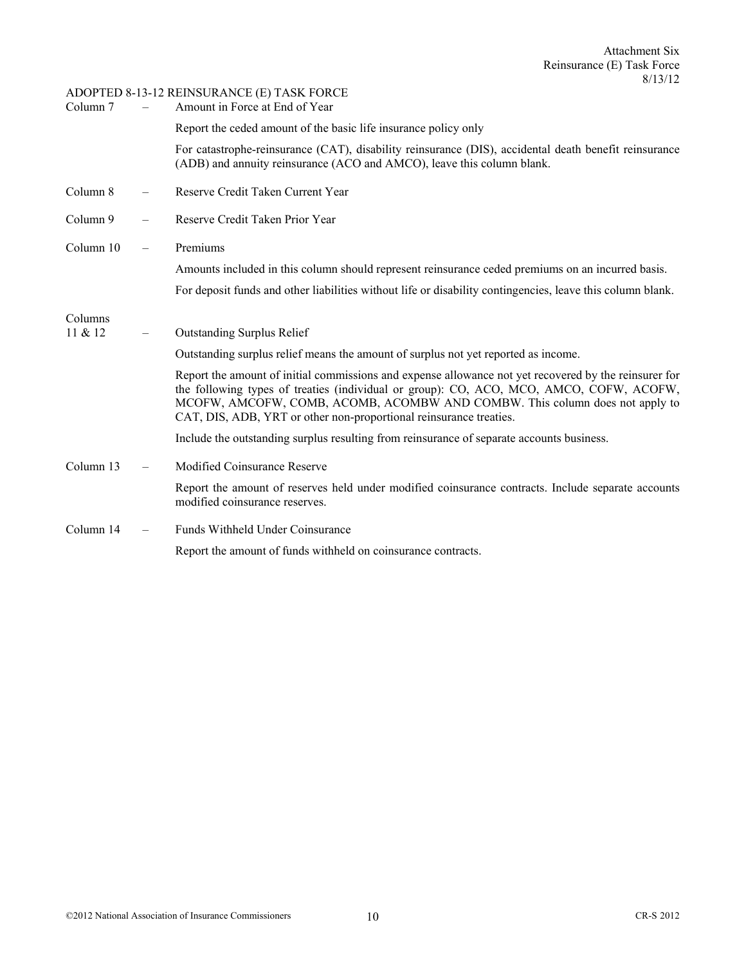| Column 7  | $\overline{\phantom{0}}$ | Amount in Force at End of Year                                                                                                                                                                                                                                                                                                                        |
|-----------|--------------------------|-------------------------------------------------------------------------------------------------------------------------------------------------------------------------------------------------------------------------------------------------------------------------------------------------------------------------------------------------------|
|           |                          | Report the ceded amount of the basic life insurance policy only                                                                                                                                                                                                                                                                                       |
|           |                          | For catastrophe-reinsurance (CAT), disability reinsurance (DIS), accidental death benefit reinsurance<br>(ADB) and annuity reinsurance (ACO and AMCO), leave this column blank.                                                                                                                                                                       |
| Column 8  |                          | Reserve Credit Taken Current Year                                                                                                                                                                                                                                                                                                                     |
| Column 9  |                          | Reserve Credit Taken Prior Year                                                                                                                                                                                                                                                                                                                       |
| Column 10 | $\overline{\phantom{m}}$ | Premiums                                                                                                                                                                                                                                                                                                                                              |
|           |                          | Amounts included in this column should represent reinsurance ceded premiums on an incurred basis.                                                                                                                                                                                                                                                     |
|           |                          | For deposit funds and other liabilities without life or disability contingencies, leave this column blank.                                                                                                                                                                                                                                            |
| Columns   |                          |                                                                                                                                                                                                                                                                                                                                                       |
| 11 & 12   |                          | <b>Outstanding Surplus Relief</b>                                                                                                                                                                                                                                                                                                                     |
|           |                          | Outstanding surplus relief means the amount of surplus not yet reported as income.                                                                                                                                                                                                                                                                    |
|           |                          | Report the amount of initial commissions and expense allowance not yet recovered by the reinsurer for<br>the following types of treaties (individual or group): CO, ACO, MCO, AMCO, COFW, ACOFW,<br>MCOFW, AMCOFW, COMB, ACOMB, ACOMBW AND COMBW. This column does not apply to<br>CAT, DIS, ADB, YRT or other non-proportional reinsurance treaties. |
|           |                          | Include the outstanding surplus resulting from reinsurance of separate accounts business.                                                                                                                                                                                                                                                             |
| Column 13 | $\overline{\phantom{m}}$ | <b>Modified Coinsurance Reserve</b>                                                                                                                                                                                                                                                                                                                   |
|           |                          | Report the amount of reserves held under modified coinsurance contracts. Include separate accounts<br>modified coinsurance reserves.                                                                                                                                                                                                                  |
| Column 14 | $\overline{\phantom{m}}$ | Funds Withheld Under Coinsurance                                                                                                                                                                                                                                                                                                                      |
|           |                          | Report the amount of funds withheld on coinsurance contracts.                                                                                                                                                                                                                                                                                         |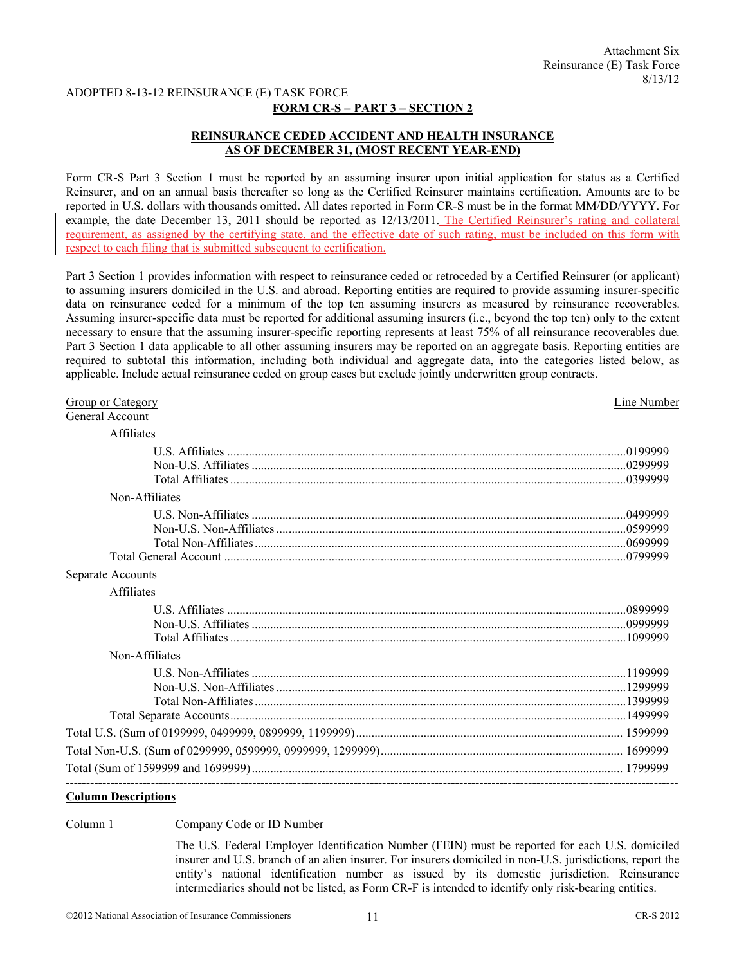### **FORM CR-S** − **PART 3** − **SECTION 2**

## **REINSURANCE CEDED ACCIDENT AND HEALTH INSURANCE AS OF DECEMBER 31, (MOST RECENT YEAR-END)**

Form CR-S Part 3 Section 1 must be reported by an assuming insurer upon initial application for status as a Certified Reinsurer, and on an annual basis thereafter so long as the Certified Reinsurer maintains certification. Amounts are to be reported in U.S. dollars with thousands omitted. All dates reported in Form CR-S must be in the format MM/DD/YYYY. For example, the date December 13, 2011 should be reported as 12/13/2011. The Certified Reinsurer's rating and collateral requirement, as assigned by the certifying state, and the effective date of such rating, must be included on this form with respect to each filing that is submitted subsequent to certification.

Part 3 Section 1 provides information with respect to reinsurance ceded or retroceded by a Certified Reinsurer (or applicant) to assuming insurers domiciled in the U.S. and abroad. Reporting entities are required to provide assuming insurer-specific data on reinsurance ceded for a minimum of the top ten assuming insurers as measured by reinsurance recoverables. Assuming insurer-specific data must be reported for additional assuming insurers (i.e., beyond the top ten) only to the extent necessary to ensure that the assuming insurer-specific reporting represents at least 75% of all reinsurance recoverables due. Part 3 Section 1 data applicable to all other assuming insurers may be reported on an aggregate basis. Reporting entities are required to subtotal this information, including both individual and aggregate data, into the categories listed below, as applicable. Include actual reinsurance ceded on group cases but exclude jointly underwritten group contracts.

| Group or Category | Line Number |
|-------------------|-------------|
| General Account   |             |
| <b>Affiliates</b> |             |
|                   |             |
|                   |             |
|                   |             |
| Non-Affiliates    |             |
|                   |             |
|                   |             |
|                   |             |
|                   |             |
| Separate Accounts |             |
| <b>Affiliates</b> |             |
|                   |             |
|                   |             |
|                   |             |
| Non-Affiliates    |             |
|                   |             |
|                   |             |
|                   |             |
|                   |             |
|                   |             |
|                   |             |
|                   |             |

## **Column Descriptions**

Column 1 – Company Code or ID Number

 The U.S. Federal Employer Identification Number (FEIN) must be reported for each U.S. domiciled insurer and U.S. branch of an alien insurer. For insurers domiciled in non-U.S. jurisdictions, report the entity's national identification number as issued by its domestic jurisdiction. Reinsurance intermediaries should not be listed, as Form CR-F is intended to identify only risk-bearing entities.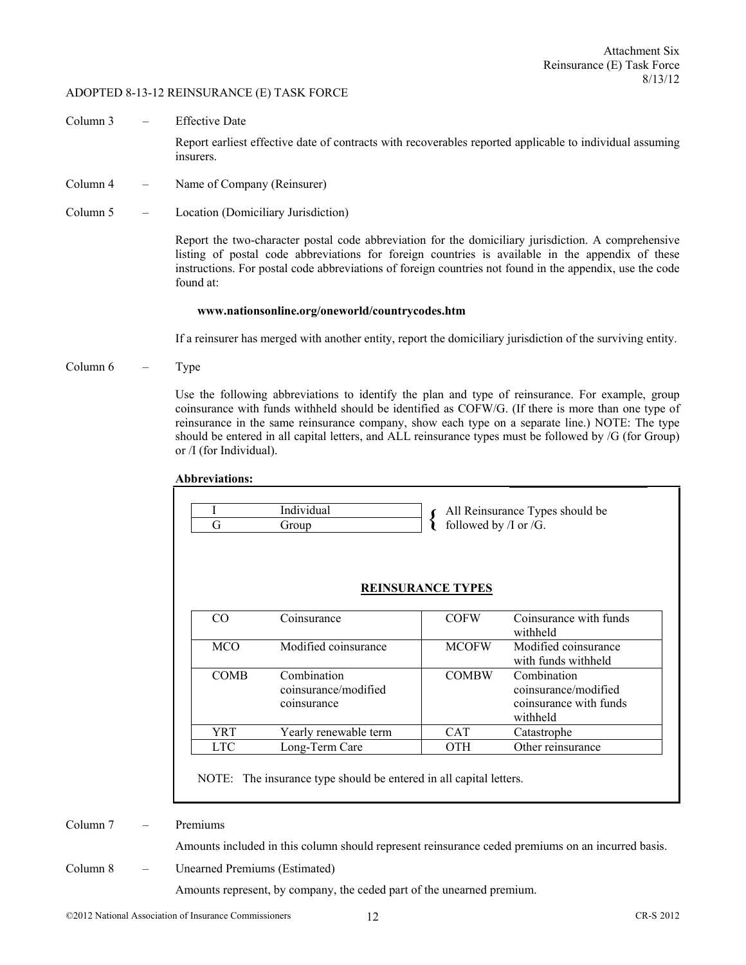Column 3 – Effective Date

 Report earliest effective date of contracts with recoverables reported applicable to individual assuming insurers.

- Column 4 Name of Company (Reinsurer)
- Column 5 Location (Domiciliary Jurisdiction)

Report the two-character postal code abbreviation for the domiciliary jurisdiction. A comprehensive listing of postal code abbreviations for foreign countries is available in the appendix of these instructions. For postal code abbreviations of foreign countries not found in the appendix, use the code found at:

#### **www.nationsonline.org/oneworld/countrycodes.htm**

If a reinsurer has merged with another entity, report the domiciliary jurisdiction of the surviving entity.

Column 6 – Type

Use the following abbreviations to identify the plan and type of reinsurance. For example, group coinsurance with funds withheld should be identified as COFW/G. (If there is more than one type of reinsurance in the same reinsurance company, show each type on a separate line.) NOTE: The type should be entered in all capital letters, and ALL reinsurance types must be followed by /G (for Group) or /I (for Individual).

| G           | Individual<br>Group                                | followed by /I or / $\overline{G}$ .    | All Reinsurance Types should be                                           |
|-------------|----------------------------------------------------|-----------------------------------------|---------------------------------------------------------------------------|
| CO          | Coinsurance                                        | <b>REINSURANCE TYPES</b><br><b>COFW</b> | Coinsurance with funds<br>withheld                                        |
| <b>MCO</b>  | Modified coinsurance                               | <b>MCOFW</b>                            | Modified coinsurance<br>with funds withheld                               |
| <b>COMB</b> | Combination<br>coinsurance/modified<br>coinsurance | <b>COMBW</b>                            | Combination<br>coinsurance/modified<br>coinsurance with funds<br>withheld |
| YRT         | Yearly renewable term                              | CAT                                     | Catastrophe                                                               |
|             | Long-Term Care                                     | OTH                                     | Other reinsurance                                                         |

**Abbreviations:** 

NOTE: The insurance type should be entered in all capital letters.

Column 7 – Premiums

Amounts included in this column should represent reinsurance ceded premiums on an incurred basis.

Column 8 – Unearned Premiums (Estimated)

Amounts represent, by company, the ceded part of the unearned premium.